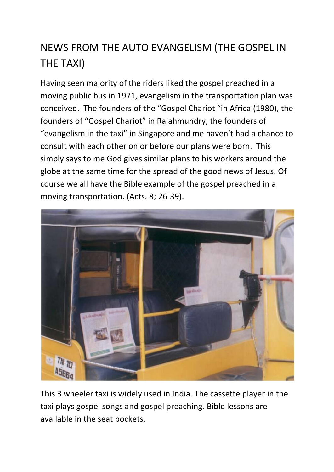## NEWS FROM THE AUTO EVANGELISM (THE GOSPEL IN THE TAXI)

Having seen majority of the riders liked the gospel preached in a moving public bus in 1971, evangelism in the transportation plan was conceived. The founders of the "Gospel Chariot "in Africa (1980), the founders of "Gospel Chariot" in Rajahmundry, the founders of "evangelism in the taxi" in Singapore and me haven't had a chance to consult with each other on or before our plans were born. This simply says to me God gives similar plans to his workers around the globe at the same time for the spread of the good news of Jesus. Of course we all have the Bible example of the gospel preached in a moving transportation. (Acts. 8; 26-39).



This 3 wheeler taxi is widely used in India. The cassette player in the taxi plays gospel songs and gospel preaching. Bible lessons are available in the seat pockets.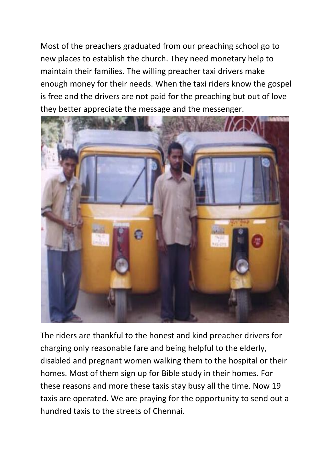Most of the preachers graduated from our preaching school go to new places to establish the church. They need monetary help to maintain their families. The willing preacher taxi drivers make enough money for their needs. When the taxi riders know the gospel is free and the drivers are not paid for the preaching but out of love they better appreciate the message and the messenger.

![](_page_1_Picture_1.jpeg)

The riders are thankful to the honest and kind preacher drivers for charging only reasonable fare and being helpful to the elderly, disabled and pregnant women walking them to the hospital or their homes. Most of them sign up for Bible study in their homes. For these reasons and more these taxis stay busy all the time. Now 19 taxis are operated. We are praying for the opportunity to send out a hundred taxis to the streets of Chennai.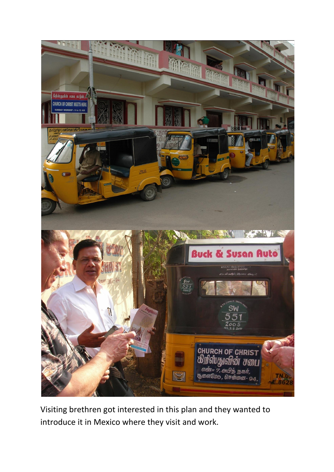![](_page_2_Picture_0.jpeg)

Visiting brethren got interested in this plan and they wanted to introduce it in Mexico where they visit and work.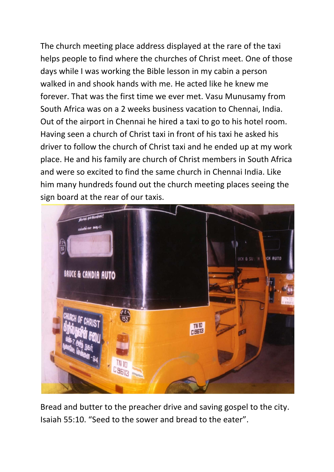The church meeting place address displayed at the rare of the taxi helps people to find where the churches of Christ meet. One of those days while I was working the Bible lesson in my cabin a person walked in and shook hands with me. He acted like he knew me forever. That was the first time we ever met. Vasu Munusamy from South Africa was on a 2 weeks business vacation to Chennai, India. Out of the airport in Chennai he hired a taxi to go to his hotel room. Having seen a church of Christ taxi in front of his taxi he asked his driver to follow the church of Christ taxi and he ended up at my work place. He and his family are church of Christ members in South Africa and were so excited to find the same church in Chennai India. Like him many hundreds found out the church meeting places seeing the sign board at the rear of our taxis.

![](_page_3_Picture_1.jpeg)

Bread and butter to the preacher drive and saving gospel to the city. Isaiah 55:10. "Seed to the sower and bread to the eater".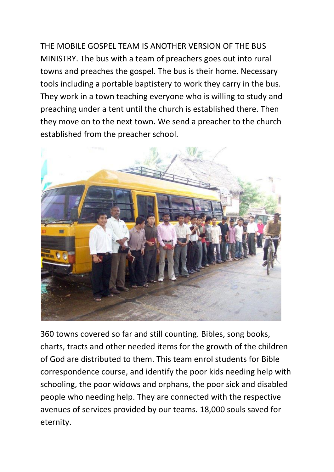THE MOBILE GOSPEL TEAM IS ANOTHER VERSION OF THE BUS MINISTRY. The bus with a team of preachers goes out into rural towns and preaches the gospel. The bus is their home. Necessary tools including a portable baptistery to work they carry in the bus. They work in a town teaching everyone who is willing to study and preaching under a tent until the church is established there. Then they move on to the next town. We send a preacher to the church established from the preacher school.

![](_page_4_Picture_1.jpeg)

360 towns covered so far and still counting. Bibles, song books, charts, tracts and other needed items for the growth of the children of God are distributed to them. This team enrol students for Bible correspondence course, and identify the poor kids needing help with schooling, the poor widows and orphans, the poor sick and disabled people who needing help. They are connected with the respective avenues of services provided by our teams. 18,000 souls saved for eternity.